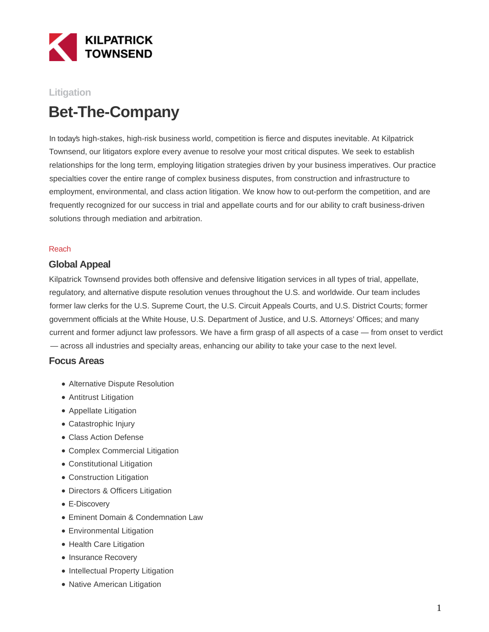

## **Litigation**

# **Bet-The-Company**

In today's high-stakes, high-risk business world, competition is fierce and disputes inevitable. At Kilpatrick Townsend, our litigators explore every avenue to resolve your most critical disputes. We seek to establish relationships for the long term, employing litigation strategies driven by your business imperatives. Our practice specialties cover the entire range of complex business disputes, from construction and infrastructure to employment, environmental, and class action litigation. We know how to out-perform the competition, and are frequently recognized for our success in trial and appellate courts and for our ability to craft business-driven solutions through mediation and arbitration.

#### Reach

### **Global Appeal**

Kilpatrick Townsend provides both offensive and defensive litigation services in all types of trial, appellate, regulatory, and alternative dispute resolution venues throughout the U.S. and worldwide. Our team includes former law clerks for the U.S. Supreme Court, the U.S. Circuit Appeals Courts, and U.S. District Courts; former government officials at the White House, U.S. Department of Justice, and U.S. Attorneys' Offices; and many current and former adjunct law professors. We have a firm grasp of all aspects of a case — from onset to verdict — across all industries and specialty areas, enhancing our ability to take your case to the next level.

### **Focus Areas**

- Alternative Dispute Resolution
- Antitrust Litigation
- Appellate Litigation
- Catastrophic Injury
- Class Action Defense
- Complex Commercial Litigation
- Constitutional Litigation
- Construction Litigation
- Directors & Officers Litigation
- E-Discovery
- Eminent Domain & Condemnation Law
- Environmental Litigation
- Health Care Litigation
- Insurance Recovery
- Intellectual Property Litigation
- Native American Litigation